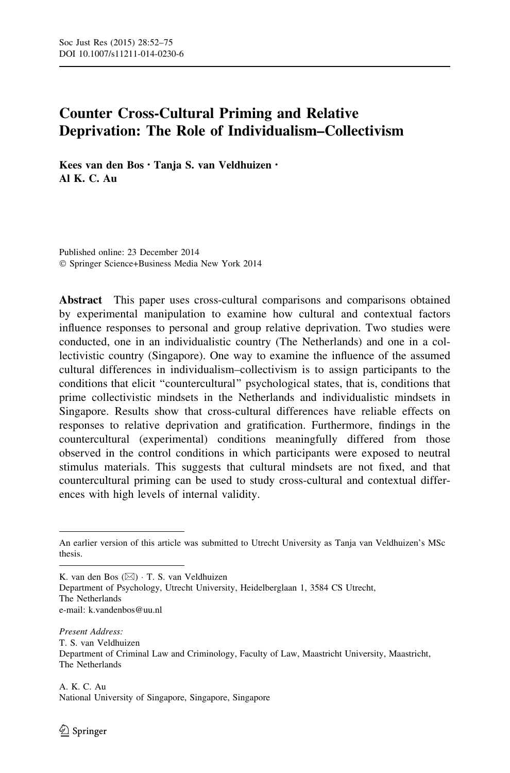# Counter Cross-Cultural Priming and Relative Deprivation: The Role of Individualism–Collectivism

Kees van den Bos • Tanja S. van Veldhuizen • Al K. C. Au

Published online: 23 December 2014 - Springer Science+Business Media New York 2014

Abstract This paper uses cross-cultural comparisons and comparisons obtained by experimental manipulation to examine how cultural and contextual factors influence responses to personal and group relative deprivation. Two studies were conducted, one in an individualistic country (The Netherlands) and one in a collectivistic country (Singapore). One way to examine the influence of the assumed cultural differences in individualism–collectivism is to assign participants to the conditions that elicit ''countercultural'' psychological states, that is, conditions that prime collectivistic mindsets in the Netherlands and individualistic mindsets in Singapore. Results show that cross-cultural differences have reliable effects on responses to relative deprivation and gratification. Furthermore, findings in the countercultural (experimental) conditions meaningfully differed from those observed in the control conditions in which participants were exposed to neutral stimulus materials. This suggests that cultural mindsets are not fixed, and that countercultural priming can be used to study cross-cultural and contextual differences with high levels of internal validity.

K. van den Bos  $(\boxtimes) \cdot$  T. S. van Veldhuizen

Department of Psychology, Utrecht University, Heidelberglaan 1, 3584 CS Utrecht, The Netherlands

e-mail: k.vandenbos@uu.nl

Present Address: T. S. van Veldhuizen Department of Criminal Law and Criminology, Faculty of Law, Maastricht University, Maastricht, The Netherlands

A. K. C. Au National University of Singapore, Singapore, Singapore

An earlier version of this article was submitted to Utrecht University as Tanja van Veldhuizen's MSc thesis.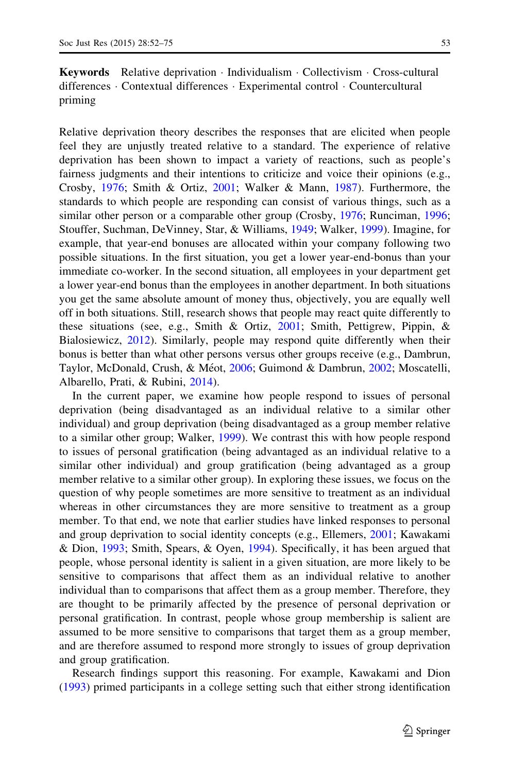**Keywords** Relative deprivation  $\cdot$  Individualism  $\cdot$  Collectivism  $\cdot$  Cross-cultural differences - Contextual differences - Experimental control - Countercultural priming

Relative deprivation theory describes the responses that are elicited when people feel they are unjustly treated relative to a standard. The experience of relative deprivation has been shown to impact a variety of reactions, such as people's fairness judgments and their intentions to criticize and voice their opinions (e.g., Crosby, [1976](#page-21-0); Smith & Ortiz, [2001](#page-22-0); Walker & Mann, [1987](#page-23-0)). Furthermore, the standards to which people are responding can consist of various things, such as a similar other person or a comparable other group (Crosby, [1976;](#page-21-0) Runciman, [1996;](#page-22-0) Stouffer, Suchman, DeVinney, Star, & Williams, [1949;](#page-22-0) Walker, [1999](#page-23-0)). Imagine, for example, that year-end bonuses are allocated within your company following two possible situations. In the first situation, you get a lower year-end-bonus than your immediate co-worker. In the second situation, all employees in your department get a lower year-end bonus than the employees in another department. In both situations you get the same absolute amount of money thus, objectively, you are equally well off in both situations. Still, research shows that people may react quite differently to these situations (see, e.g., Smith & Ortiz, [2001](#page-22-0); Smith, Pettigrew, Pippin, & Bialosiewicz, [2012\)](#page-22-0). Similarly, people may respond quite differently when their bonus is better than what other persons versus other groups receive (e.g., Dambrun, Taylor, McDonald, Crush, & Méot, [2006;](#page-21-0) Guimond & Dambrun, [2002;](#page-21-0) Moscatelli, Albarello, Prati, & Rubini, [2014\)](#page-22-0).

In the current paper, we examine how people respond to issues of personal deprivation (being disadvantaged as an individual relative to a similar other individual) and group deprivation (being disadvantaged as a group member relative to a similar other group; Walker, [1999](#page-23-0)). We contrast this with how people respond to issues of personal gratification (being advantaged as an individual relative to a similar other individual) and group gratification (being advantaged as a group member relative to a similar other group). In exploring these issues, we focus on the question of why people sometimes are more sensitive to treatment as an individual whereas in other circumstances they are more sensitive to treatment as a group member. To that end, we note that earlier studies have linked responses to personal and group deprivation to social identity concepts (e.g., Ellemers, [2001;](#page-21-0) Kawakami & Dion, [1993;](#page-21-0) Smith, Spears, & Oyen, [1994\)](#page-22-0). Specifically, it has been argued that people, whose personal identity is salient in a given situation, are more likely to be sensitive to comparisons that affect them as an individual relative to another individual than to comparisons that affect them as a group member. Therefore, they are thought to be primarily affected by the presence of personal deprivation or personal gratification. In contrast, people whose group membership is salient are assumed to be more sensitive to comparisons that target them as a group member, and are therefore assumed to respond more strongly to issues of group deprivation and group gratification.

Research findings support this reasoning. For example, Kawakami and Dion [\(1993](#page-21-0)) primed participants in a college setting such that either strong identification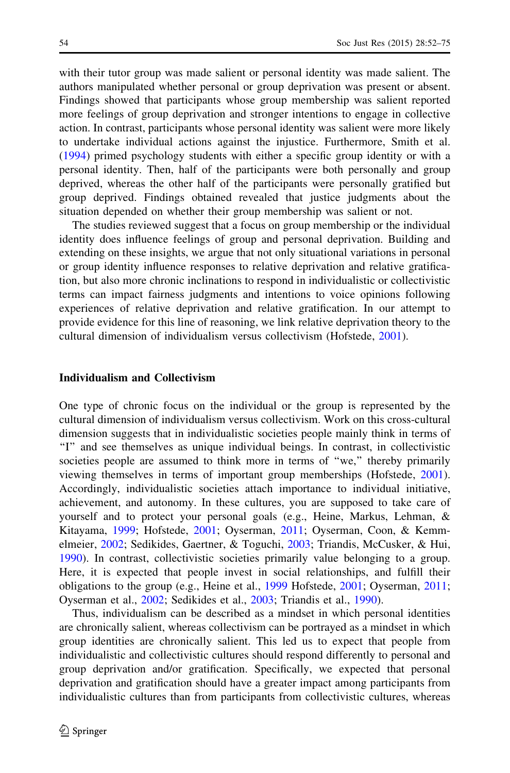with their tutor group was made salient or personal identity was made salient. The authors manipulated whether personal or group deprivation was present or absent. Findings showed that participants whose group membership was salient reported more feelings of group deprivation and stronger intentions to engage in collective action. In contrast, participants whose personal identity was salient were more likely to undertake individual actions against the injustice. Furthermore, Smith et al. [\(1994](#page-22-0)) primed psychology students with either a specific group identity or with a personal identity. Then, half of the participants were both personally and group deprived, whereas the other half of the participants were personally gratified but group deprived. Findings obtained revealed that justice judgments about the situation depended on whether their group membership was salient or not.

The studies reviewed suggest that a focus on group membership or the individual identity does influence feelings of group and personal deprivation. Building and extending on these insights, we argue that not only situational variations in personal or group identity influence responses to relative deprivation and relative gratification, but also more chronic inclinations to respond in individualistic or collectivistic terms can impact fairness judgments and intentions to voice opinions following experiences of relative deprivation and relative gratification. In our attempt to provide evidence for this line of reasoning, we link relative deprivation theory to the cultural dimension of individualism versus collectivism (Hofstede, [2001\)](#page-21-0).

### Individualism and Collectivism

One type of chronic focus on the individual or the group is represented by the cultural dimension of individualism versus collectivism. Work on this cross-cultural dimension suggests that in individualistic societies people mainly think in terms of "I" and see themselves as unique individual beings. In contrast, in collectivistic societies people are assumed to think more in terms of "we," thereby primarily viewing themselves in terms of important group memberships (Hofstede, [2001\)](#page-21-0). Accordingly, individualistic societies attach importance to individual initiative, achievement, and autonomy. In these cultures, you are supposed to take care of yourself and to protect your personal goals (e.g., Heine, Markus, Lehman, & Kitayama, [1999;](#page-21-0) Hofstede, [2001;](#page-21-0) Oyserman, [2011;](#page-22-0) Oyserman, Coon, & Kemmelmeier, [2002;](#page-22-0) Sedikides, Gaertner, & Toguchi, [2003;](#page-22-0) Triandis, McCusker, & Hui, [1990\)](#page-22-0). In contrast, collectivistic societies primarily value belonging to a group. Here, it is expected that people invest in social relationships, and fulfill their obligations to the group (e.g., Heine et al., [1999](#page-21-0) Hofstede, [2001;](#page-21-0) Oyserman, [2011;](#page-22-0) Oyserman et al., [2002;](#page-22-0) Sedikides et al., [2003](#page-22-0); Triandis et al., [1990](#page-22-0)).

Thus, individualism can be described as a mindset in which personal identities are chronically salient, whereas collectivism can be portrayed as a mindset in which group identities are chronically salient. This led us to expect that people from individualistic and collectivistic cultures should respond differently to personal and group deprivation and/or gratification. Specifically, we expected that personal deprivation and gratification should have a greater impact among participants from individualistic cultures than from participants from collectivistic cultures, whereas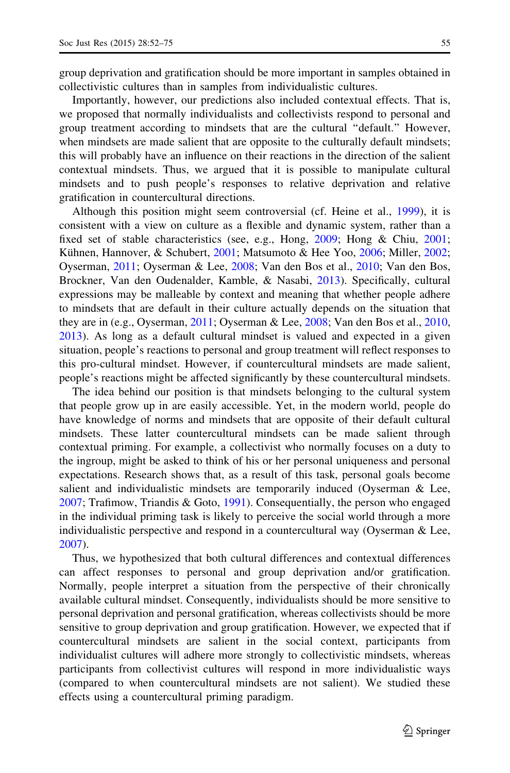group deprivation and gratification should be more important in samples obtained in collectivistic cultures than in samples from individualistic cultures.

Importantly, however, our predictions also included contextual effects. That is, we proposed that normally individualists and collectivists respond to personal and group treatment according to mindsets that are the cultural ''default.'' However, when mindsets are made salient that are opposite to the culturally default mindsets; this will probably have an influence on their reactions in the direction of the salient contextual mindsets. Thus, we argued that it is possible to manipulate cultural mindsets and to push people's responses to relative deprivation and relative gratification in countercultural directions.

Although this position might seem controversial (cf. Heine et al., [1999\)](#page-21-0), it is consistent with a view on culture as a flexible and dynamic system, rather than a fixed set of stable characteristics (see, e.g., Hong, [2009](#page-21-0); Hong & Chiu, [2001;](#page-21-0) Kühnen, Hannover, & Schubert, [2001;](#page-21-0) Matsumoto & Hee Yoo, [2006;](#page-22-0) Miller, [2002;](#page-22-0) Oyserman, [2011;](#page-22-0) Oyserman & Lee, [2008](#page-22-0); Van den Bos et al., [2010](#page-22-0); Van den Bos, Brockner, Van den Oudenalder, Kamble, & Nasabi, [2013](#page-22-0)). Specifically, cultural expressions may be malleable by context and meaning that whether people adhere to mindsets that are default in their culture actually depends on the situation that they are in (e.g., Oyserman, [2011](#page-22-0); Oyserman & Lee, [2008;](#page-22-0) Van den Bos et al., [2010,](#page-22-0) [2013\)](#page-22-0). As long as a default cultural mindset is valued and expected in a given situation, people's reactions to personal and group treatment will reflect responses to this pro-cultural mindset. However, if countercultural mindsets are made salient, people's reactions might be affected significantly by these countercultural mindsets.

The idea behind our position is that mindsets belonging to the cultural system that people grow up in are easily accessible. Yet, in the modern world, people do have knowledge of norms and mindsets that are opposite of their default cultural mindsets. These latter countercultural mindsets can be made salient through contextual priming. For example, a collectivist who normally focuses on a duty to the ingroup, might be asked to think of his or her personal uniqueness and personal expectations. Research shows that, as a result of this task, personal goals become salient and individualistic mindsets are temporarily induced (Oyserman & Lee, [2007;](#page-22-0) Trafimow, Triandis & Goto, [1991](#page-22-0)). Consequentially, the person who engaged in the individual priming task is likely to perceive the social world through a more individualistic perspective and respond in a countercultural way (Oyserman  $& Lee$ ) [2007\)](#page-22-0).

Thus, we hypothesized that both cultural differences and contextual differences can affect responses to personal and group deprivation and/or gratification. Normally, people interpret a situation from the perspective of their chronically available cultural mindset. Consequently, individualists should be more sensitive to personal deprivation and personal gratification, whereas collectivists should be more sensitive to group deprivation and group gratification. However, we expected that if countercultural mindsets are salient in the social context, participants from individualist cultures will adhere more strongly to collectivistic mindsets, whereas participants from collectivist cultures will respond in more individualistic ways (compared to when countercultural mindsets are not salient). We studied these effects using a countercultural priming paradigm.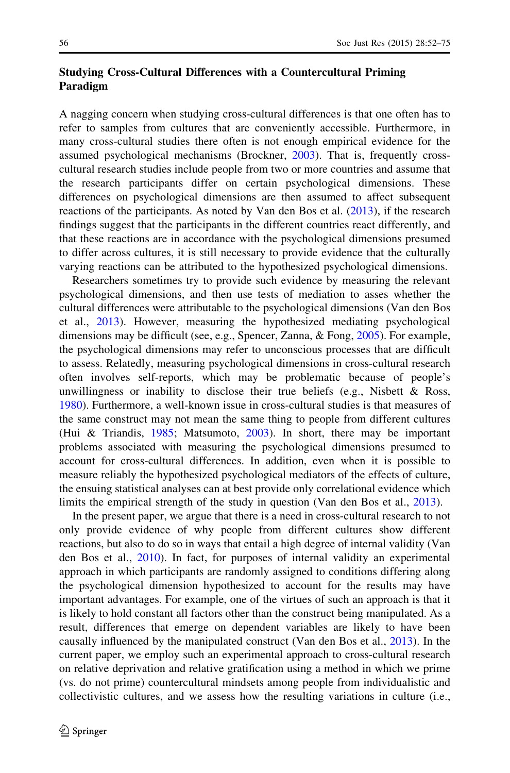# Studying Cross-Cultural Differences with a Countercultural Priming Paradigm

A nagging concern when studying cross-cultural differences is that one often has to refer to samples from cultures that are conveniently accessible. Furthermore, in many cross-cultural studies there often is not enough empirical evidence for the assumed psychological mechanisms (Brockner, [2003\)](#page-21-0). That is, frequently crosscultural research studies include people from two or more countries and assume that the research participants differ on certain psychological dimensions. These differences on psychological dimensions are then assumed to affect subsequent reactions of the participants. As noted by Van den Bos et al. [\(2013](#page-22-0)), if the research findings suggest that the participants in the different countries react differently, and that these reactions are in accordance with the psychological dimensions presumed to differ across cultures, it is still necessary to provide evidence that the culturally varying reactions can be attributed to the hypothesized psychological dimensions.

Researchers sometimes try to provide such evidence by measuring the relevant psychological dimensions, and then use tests of mediation to asses whether the cultural differences were attributable to the psychological dimensions (Van den Bos et al., [2013](#page-22-0)). However, measuring the hypothesized mediating psychological dimensions may be difficult (see, e.g., Spencer, Zanna, & Fong, [2005](#page-22-0)). For example, the psychological dimensions may refer to unconscious processes that are difficult to assess. Relatedly, measuring psychological dimensions in cross-cultural research often involves self-reports, which may be problematic because of people's unwillingness or inability to disclose their true beliefs (e.g., Nisbett  $\&$  Ross, [1980\)](#page-22-0). Furthermore, a well-known issue in cross-cultural studies is that measures of the same construct may not mean the same thing to people from different cultures (Hui & Triandis, [1985;](#page-21-0) Matsumoto, [2003](#page-22-0)). In short, there may be important problems associated with measuring the psychological dimensions presumed to account for cross-cultural differences. In addition, even when it is possible to measure reliably the hypothesized psychological mediators of the effects of culture, the ensuing statistical analyses can at best provide only correlational evidence which limits the empirical strength of the study in question (Van den Bos et al., [2013](#page-22-0)).

In the present paper, we argue that there is a need in cross-cultural research to not only provide evidence of why people from different cultures show different reactions, but also to do so in ways that entail a high degree of internal validity (Van den Bos et al., [2010](#page-22-0)). In fact, for purposes of internal validity an experimental approach in which participants are randomly assigned to conditions differing along the psychological dimension hypothesized to account for the results may have important advantages. For example, one of the virtues of such an approach is that it is likely to hold constant all factors other than the construct being manipulated. As a result, differences that emerge on dependent variables are likely to have been causally influenced by the manipulated construct (Van den Bos et al., [2013](#page-22-0)). In the current paper, we employ such an experimental approach to cross-cultural research on relative deprivation and relative gratification using a method in which we prime (vs. do not prime) countercultural mindsets among people from individualistic and collectivistic cultures, and we assess how the resulting variations in culture (i.e.,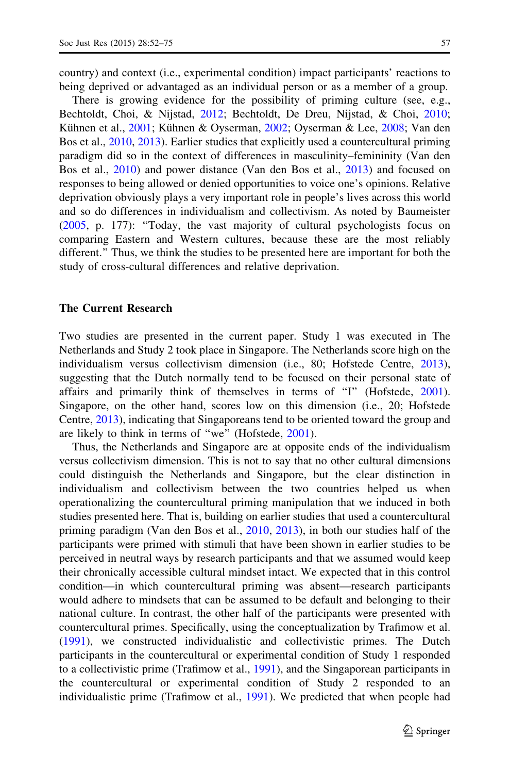country) and context (i.e., experimental condition) impact participants' reactions to being deprived or advantaged as an individual person or as a member of a group.

There is growing evidence for the possibility of priming culture (see, e.g., Bechtoldt, Choi, & Nijstad, [2012;](#page-21-0) Bechtoldt, De Dreu, Nijstad, & Choi, [2010;](#page-21-0) Kühnen et al., [2001;](#page-21-0) Kühnen & Oyserman, [2002;](#page-22-0) Oyserman & Lee, [2008;](#page-22-0) Van den Bos et al., [2010,](#page-22-0) [2013\)](#page-22-0). Earlier studies that explicitly used a countercultural priming paradigm did so in the context of differences in masculinity–femininity (Van den Bos et al., [2010\)](#page-22-0) and power distance (Van den Bos et al., [2013\)](#page-22-0) and focused on responses to being allowed or denied opportunities to voice one's opinions. Relative deprivation obviously plays a very important role in people's lives across this world and so do differences in individualism and collectivism. As noted by Baumeister [\(2005](#page-21-0), p. 177): ''Today, the vast majority of cultural psychologists focus on comparing Eastern and Western cultures, because these are the most reliably different.'' Thus, we think the studies to be presented here are important for both the study of cross-cultural differences and relative deprivation.

### The Current Research

Two studies are presented in the current paper. Study 1 was executed in The Netherlands and Study 2 took place in Singapore. The Netherlands score high on the individualism versus collectivism dimension (i.e., 80; Hofstede Centre, [2013\)](#page-21-0), suggesting that the Dutch normally tend to be focused on their personal state of affairs and primarily think of themselves in terms of "I" (Hofstede, [2001\)](#page-21-0). Singapore, on the other hand, scores low on this dimension (i.e., 20; Hofstede Centre, [2013\)](#page-21-0), indicating that Singaporeans tend to be oriented toward the group and are likely to think in terms of "we" (Hofstede, [2001](#page-21-0)).

Thus, the Netherlands and Singapore are at opposite ends of the individualism versus collectivism dimension. This is not to say that no other cultural dimensions could distinguish the Netherlands and Singapore, but the clear distinction in individualism and collectivism between the two countries helped us when operationalizing the countercultural priming manipulation that we induced in both studies presented here. That is, building on earlier studies that used a countercultural priming paradigm (Van den Bos et al., [2010](#page-22-0), [2013\)](#page-22-0), in both our studies half of the participants were primed with stimuli that have been shown in earlier studies to be perceived in neutral ways by research participants and that we assumed would keep their chronically accessible cultural mindset intact. We expected that in this control condition—in which countercultural priming was absent—research participants would adhere to mindsets that can be assumed to be default and belonging to their national culture. In contrast, the other half of the participants were presented with countercultural primes. Specifically, using the conceptualization by Trafimow et al. [\(1991](#page-22-0)), we constructed individualistic and collectivistic primes. The Dutch participants in the countercultural or experimental condition of Study 1 responded to a collectivistic prime (Trafimow et al., [1991](#page-22-0)), and the Singaporean participants in the countercultural or experimental condition of Study 2 responded to an individualistic prime (Trafimow et al., [1991\)](#page-22-0). We predicted that when people had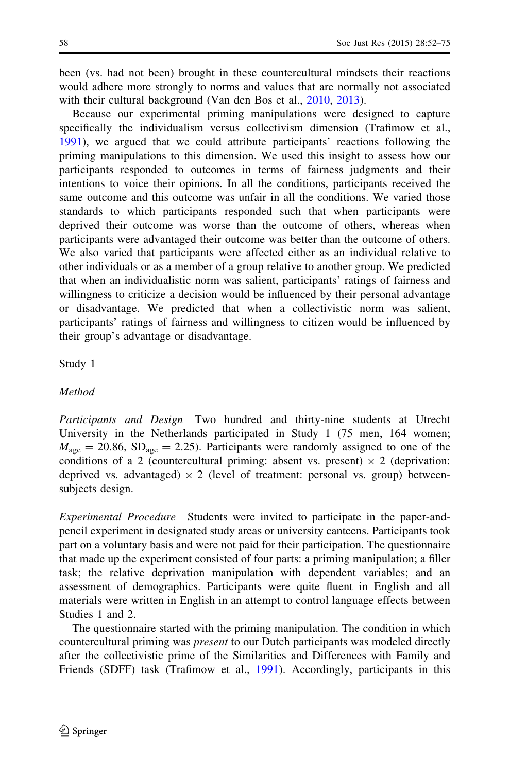been (vs. had not been) brought in these countercultural mindsets their reactions would adhere more strongly to norms and values that are normally not associated with their cultural background (Van den Bos et al., [2010](#page-22-0), [2013](#page-22-0)).

Because our experimental priming manipulations were designed to capture specifically the individualism versus collectivism dimension (Trafimow et al., [1991\)](#page-22-0), we argued that we could attribute participants' reactions following the priming manipulations to this dimension. We used this insight to assess how our participants responded to outcomes in terms of fairness judgments and their intentions to voice their opinions. In all the conditions, participants received the same outcome and this outcome was unfair in all the conditions. We varied those standards to which participants responded such that when participants were deprived their outcome was worse than the outcome of others, whereas when participants were advantaged their outcome was better than the outcome of others. We also varied that participants were affected either as an individual relative to other individuals or as a member of a group relative to another group. We predicted that when an individualistic norm was salient, participants' ratings of fairness and willingness to criticize a decision would be influenced by their personal advantage or disadvantage. We predicted that when a collectivistic norm was salient, participants' ratings of fairness and willingness to citizen would be influenced by their group's advantage or disadvantage.

Study 1

### Method

Participants and Design Two hundred and thirty-nine students at Utrecht University in the Netherlands participated in Study 1 (75 men, 164 women;  $M_{\text{age}} = 20.86$ , SD<sub>age</sub> = 2.25). Participants were randomly assigned to one of the conditions of a 2 (countercultural priming: absent vs. present)  $\times$  2 (deprivation: deprived vs. advantaged)  $\times$  2 (level of treatment: personal vs. group) betweensubjects design.

Experimental Procedure Students were invited to participate in the paper-andpencil experiment in designated study areas or university canteens. Participants took part on a voluntary basis and were not paid for their participation. The questionnaire that made up the experiment consisted of four parts: a priming manipulation; a filler task; the relative deprivation manipulation with dependent variables; and an assessment of demographics. Participants were quite fluent in English and all materials were written in English in an attempt to control language effects between Studies 1 and 2.

The questionnaire started with the priming manipulation. The condition in which countercultural priming was present to our Dutch participants was modeled directly after the collectivistic prime of the Similarities and Differences with Family and Friends (SDFF) task (Trafimow et al., [1991](#page-22-0)). Accordingly, participants in this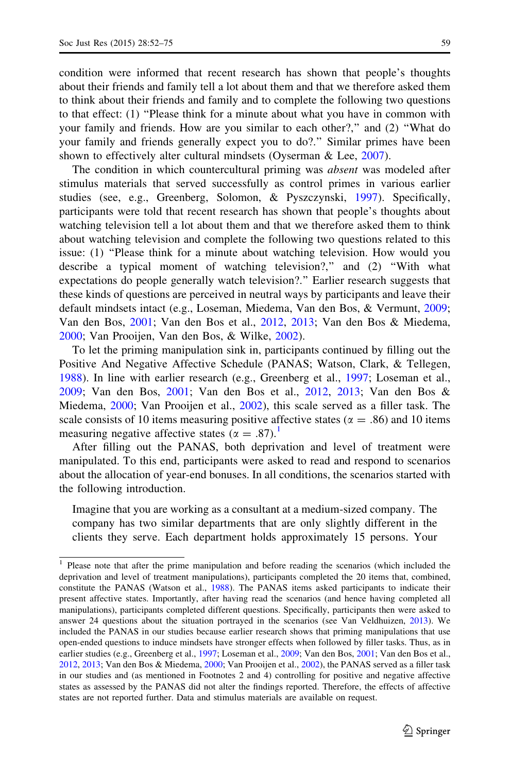condition were informed that recent research has shown that people's thoughts about their friends and family tell a lot about them and that we therefore asked them to think about their friends and family and to complete the following two questions to that effect: (1) ''Please think for a minute about what you have in common with your family and friends. How are you similar to each other?," and (2) "What do your family and friends generally expect you to do?.'' Similar primes have been shown to effectively alter cultural mindsets (Oyserman & Lee, [2007](#page-22-0)).

The condition in which countercultural priming was *absent* was modeled after stimulus materials that served successfully as control primes in various earlier studies (see, e.g., Greenberg, Solomon, & Pyszczynski, [1997\)](#page-21-0). Specifically, participants were told that recent research has shown that people's thoughts about watching television tell a lot about them and that we therefore asked them to think about watching television and complete the following two questions related to this issue: (1) "Please think for a minute about watching television. How would you describe a typical moment of watching television?,'' and (2) ''With what expectations do people generally watch television?.'' Earlier research suggests that these kinds of questions are perceived in neutral ways by participants and leave their default mindsets intact (e.g., Loseman, Miedema, Van den Bos, & Vermunt, [2009;](#page-22-0) Van den Bos, [2001;](#page-22-0) Van den Bos et al., [2012,](#page-22-0) [2013;](#page-22-0) Van den Bos & Miedema, [2000;](#page-23-0) Van Prooijen, Van den Bos, & Wilke, [2002](#page-23-0)).

To let the priming manipulation sink in, participants continued by filling out the Positive And Negative Affective Schedule (PANAS; Watson, Clark, & Tellegen, [1988\)](#page-23-0). In line with earlier research (e.g., Greenberg et al., [1997;](#page-21-0) Loseman et al., [2009;](#page-22-0) Van den Bos, [2001](#page-22-0); Van den Bos et al., [2012](#page-22-0), [2013;](#page-22-0) Van den Bos & Miedema, [2000](#page-23-0); Van Prooijen et al., [2002](#page-23-0)), this scale served as a filler task. The scale consists of 10 items measuring positive affective states ( $\alpha = .86$ ) and 10 items measuring negative affective states ( $\alpha = .87$ ).<sup>1</sup>

After filling out the PANAS, both deprivation and level of treatment were manipulated. To this end, participants were asked to read and respond to scenarios about the allocation of year-end bonuses. In all conditions, the scenarios started with the following introduction.

Imagine that you are working as a consultant at a medium-sized company. The company has two similar departments that are only slightly different in the clients they serve. Each department holds approximately 15 persons. Your

<sup>&</sup>lt;sup>1</sup> Please note that after the prime manipulation and before reading the scenarios (which included the deprivation and level of treatment manipulations), participants completed the 20 items that, combined, constitute the PANAS (Watson et al., [1988\)](#page-23-0). The PANAS items asked participants to indicate their present affective states. Importantly, after having read the scenarios (and hence having completed all manipulations), participants completed different questions. Specifically, participants then were asked to answer 24 questions about the situation portrayed in the scenarios (see Van Veldhuizen, [2013](#page-23-0)). We included the PANAS in our studies because earlier research shows that priming manipulations that use open-ended questions to induce mindsets have stronger effects when followed by filler tasks. Thus, as in earlier studies (e.g., Greenberg et al., [1997;](#page-21-0) Loseman et al., [2009](#page-22-0); Van den Bos, [2001](#page-22-0); Van den Bos et al., [2012,](#page-22-0) [2013;](#page-22-0) Van den Bos & Miedema, [2000;](#page-23-0) Van Prooijen et al., [2002\)](#page-23-0), the PANAS served as a filler task in our studies and (as mentioned in Footnotes 2 and 4) controlling for positive and negative affective states as assessed by the PANAS did not alter the findings reported. Therefore, the effects of affective states are not reported further. Data and stimulus materials are available on request.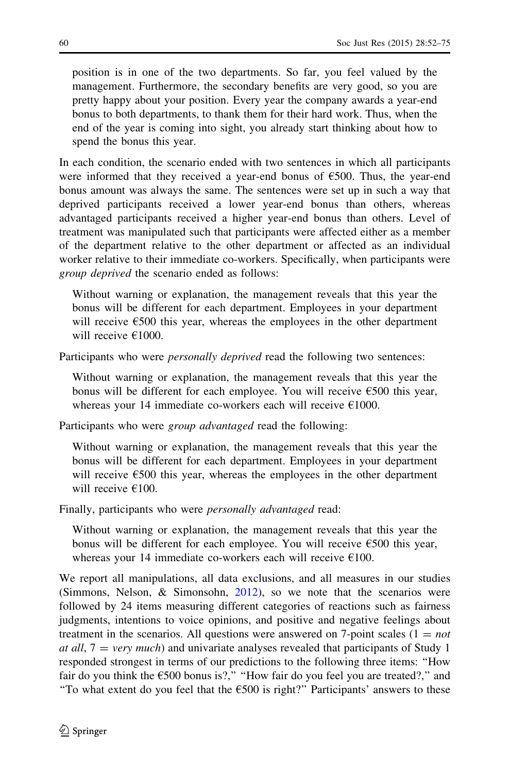position is in one of the two departments. So far, you feel valued by the management. Furthermore, the secondary benefits are very good, so you are pretty happy about your position. Every year the company awards a year-end bonus to both departments, to thank them for their hard work. Thus, when the end of the year is coming into sight, you already start thinking about how to spend the bonus this year.

In each condition, the scenario ended with two sentences in which all participants were informed that they received a year-end bonus of  $\epsilon$ 500. Thus, the year-end bonus amount was always the same. The sentences were set up in such a way that deprived participants received a lower year-end bonus than others, whereas advantaged participants received a higher year-end bonus than others. Level of treatment was manipulated such that participants were affected either as a member of the department relative to the other department or affected as an individual worker relative to their immediate co-workers. Specifically, when participants were group deprived the scenario ended as follows:

Without warning or explanation, the management reveals that this year the bonus will be different for each department. Employees in your department will receive €500 this year, whereas the employees in the other department will receive €1000.

Participants who were *personally deprived* read the following two sentences:

Without warning or explanation, the management reveals that this year the bonus will be different for each employee. You will receive  $\epsilon$ 500 this year, whereas your 14 immediate co-workers each will receive €1000.

Participants who were *group advantaged* read the following:

Without warning or explanation, the management reveals that this year the bonus will be different for each department. Employees in your department will receive €500 this year, whereas the employees in the other department will receive  $€100$ .

Finally, participants who were *personally advantaged* read:

Without warning or explanation, the management reveals that this year the bonus will be different for each employee. You will receive €500 this year, whereas your 14 immediate co-workers each will receive €100.

We report all manipulations, all data exclusions, and all measures in our studies (Simmons, Nelson, & Simonsohn, [2012](#page-22-0)), so we note that the scenarios were followed by 24 items measuring different categories of reactions such as fairness judgments, intentions to voice opinions, and positive and negative feelings about treatment in the scenarios. All questions were answered on 7-point scales ( $1 = not$ ) at all,  $7 = \text{very much}$  and univariate analyses revealed that participants of Study 1 responded strongest in terms of our predictions to the following three items: ''How fair do you think the  $\epsilon$ 500 bonus is?," "How fair do you feel you are treated?," and "To what extent do you feel that the  $6500$  is right?" Participants' answers to these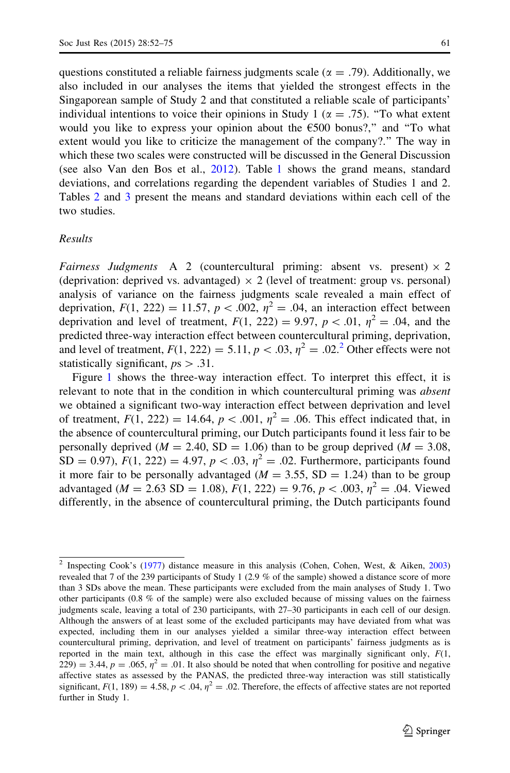questions constituted a reliable fairness judgments scale ( $\alpha = .79$ ). Additionally, we also included in our analyses the items that yielded the strongest effects in the Singaporean sample of Study 2 and that constituted a reliable scale of participants' individual intentions to voice their opinions in Study 1 ( $\alpha = .75$ ). "To what extent would you like to express your opinion about the  $\epsilon$ 500 bonus?," and "To what extent would you like to criticize the management of the company?.'' The way in which these two scales were constructed will be discussed in the General Discussion (see also Van den Bos et al., [2012\)](#page-22-0). Table [1](#page-10-0) shows the grand means, standard deviations, and correlations regarding the dependent variables of Studies 1 and 2. Tables [2](#page-11-0) and [3](#page-11-0) present the means and standard deviations within each cell of the two studies.

### Results

*Fairness Judgments* A 2 (countercultural priming: absent vs. present)  $\times$  2 (deprivation: deprived vs. advantaged)  $\times$  2 (level of treatment: group vs. personal) analysis of variance on the fairness judgments scale revealed a main effect of deprivation,  $F(1, 222) = 11.57$ ,  $p < .002$ ,  $p^2 = .04$ , an interaction effect between deprivation and level of treatment,  $F(1, 222) = 9.97$ ,  $p < .01$ ,  $\eta^2 = .04$ , and the predicted three-way interaction effect between countercultural priming, deprivation, and level of treatment,  $F(1, 222) = 5.11$ ,  $p < .03$ ,  $\eta^2 = .02$ .<sup>2</sup> Other effects were not statistically significant,  $ps > .31$ .

Figure [1](#page-12-0) shows the three-way interaction effect. To interpret this effect, it is relevant to note that in the condition in which countercultural priming was *absent* we obtained a significant two-way interaction effect between deprivation and level of treatment,  $F(1, 222) = 14.64$ ,  $p < .001$ ,  $\eta^2 = .06$ . This effect indicated that, in the absence of countercultural priming, our Dutch participants found it less fair to be personally deprived ( $M = 2.40$ , SD = 1.06) than to be group deprived ( $M = 3.08$ ,  $SD = 0.97$ ,  $F(1, 222) = 4.97$ ,  $p < .03$ ,  $\eta^2 = .02$ . Furthermore, participants found it more fair to be personally advantaged ( $M = 3.55$ , SD = 1.24) than to be group advantaged ( $M = 2.63$  SD = 1.08),  $F(1, 222) = 9.76$ ,  $p < .003$ ,  $\eta^2 = .04$ . Viewed differently, in the absence of countercultural priming, the Dutch participants found

<sup>&</sup>lt;sup>2</sup> Inspecting Cook's ([1977](#page-21-0)) distance measure in this analysis (Cohen, Cohen, West, & Aiken, [2003\)](#page-21-0) revealed that 7 of the 239 participants of Study 1 (2.9 % of the sample) showed a distance score of more than 3 SDs above the mean. These participants were excluded from the main analyses of Study 1. Two other participants (0.8 % of the sample) were also excluded because of missing values on the fairness judgments scale, leaving a total of 230 participants, with 27–30 participants in each cell of our design. Although the answers of at least some of the excluded participants may have deviated from what was expected, including them in our analyses yielded a similar three-way interaction effect between countercultural priming, deprivation, and level of treatment on participants' fairness judgments as is reported in the main text, although in this case the effect was marginally significant only,  $F(1, 1)$ 229) = 3.44,  $p = .065$ ,  $\eta^2 = .01$ . It also should be noted that when controlling for positive and negative affective states as assessed by the PANAS, the predicted three-way interaction was still statistically significant,  $F(1, 189) = 4.58$ ,  $p < .04$ ,  $\eta^2 = .02$ . Therefore, the effects of affective states are not reported further in Study 1.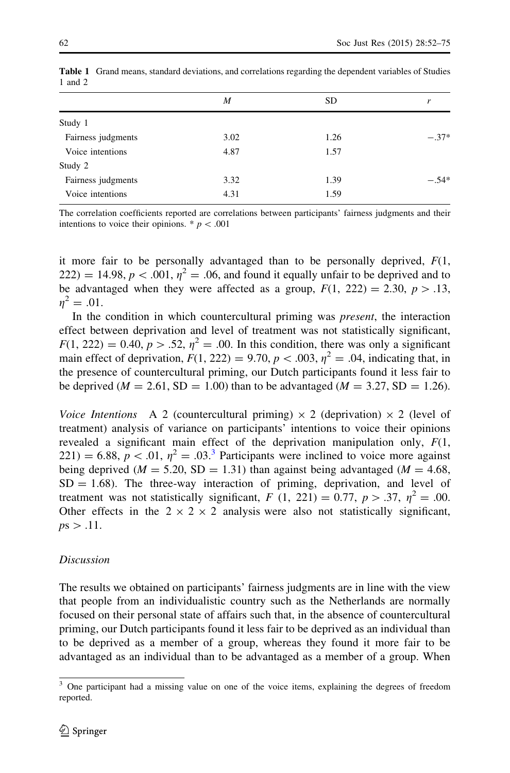|                    | M    | <b>SD</b> | r       |
|--------------------|------|-----------|---------|
| Study 1            |      |           |         |
| Fairness judgments | 3.02 | 1.26      | $-.37*$ |
| Voice intentions   | 4.87 | 1.57      |         |
| Study 2            |      |           |         |
| Fairness judgments | 3.32 | 1.39      | $-.54*$ |
| Voice intentions   | 4.31 | 1.59      |         |
|                    |      |           |         |

<span id="page-10-0"></span>Table 1 Grand means, standard deviations, and correlations regarding the dependent variables of Studies 1 and 2

The correlation coefficients reported are correlations between participants' fairness judgments and their intentions to voice their opinions.  $p < 0.001$ 

it more fair to be personally advantaged than to be personally deprived,  $F(1)$ , 222) = 14.98,  $p < .001$ ,  $\eta^2 = .06$ , and found it equally unfair to be deprived and to be advantaged when they were affected as a group,  $F(1, 222) = 2.30, p > .13$ ,  $n^2 = .01$ .

In the condition in which countercultural priming was present, the interaction effect between deprivation and level of treatment was not statistically significant,  $F(1, 222) = 0.40$ ,  $p > .52$ ,  $q^2 = .00$ . In this condition, there was only a significant main effect of deprivation,  $F(1, 222) = 9.70$ ,  $p < .003$ ,  $\eta^2 = .04$ , indicating that, in the presence of countercultural priming, our Dutch participants found it less fair to be deprived  $(M = 2.61, SD = 1.00)$  than to be advantaged  $(M = 3.27, SD = 1.26)$ .

Voice Intentions A 2 (countercultural priming)  $\times$  2 (deprivation)  $\times$  2 (level of treatment) analysis of variance on participants' intentions to voice their opinions revealed a significant main effect of the deprivation manipulation only,  $F(1)$ , 221) = 6.88,  $p < .01$ ,  $\eta^2 = .03$ <sup>3</sup> Participants were inclined to voice more against being deprived ( $M = 5.20$ , SD = 1.31) than against being advantaged ( $M = 4.68$ ,  $SD = 1.68$ ). The three-way interaction of priming, deprivation, and level of treatment was not statistically significant,  $F(1, 221) = 0.77$ ,  $p > .37$ ,  $\eta^2 = .00$ . Other effects in the  $2 \times 2 \times 2$  analysis were also not statistically significant,  $ps > .11$ .

## **Discussion**

The results we obtained on participants' fairness judgments are in line with the view that people from an individualistic country such as the Netherlands are normally focused on their personal state of affairs such that, in the absence of countercultural priming, our Dutch participants found it less fair to be deprived as an individual than to be deprived as a member of a group, whereas they found it more fair to be advantaged as an individual than to be advantaged as a member of a group. When

 $\overline{3}$  One participant had a missing value on one of the voice items, explaining the degrees of freedom reported.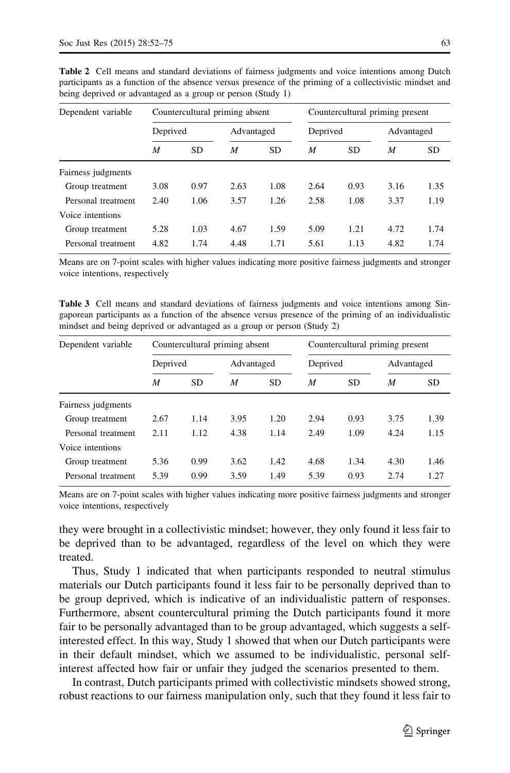| Dependent variable | Countercultural priming absent |           |            |           | Countercultural priming present |           |            |           |
|--------------------|--------------------------------|-----------|------------|-----------|---------------------------------|-----------|------------|-----------|
|                    | Deprived                       |           | Advantaged |           | Deprived                        |           | Advantaged |           |
|                    | M                              | <b>SD</b> | M          | <b>SD</b> | M                               | <b>SD</b> | M          | <b>SD</b> |
| Fairness judgments |                                |           |            |           |                                 |           |            |           |
| Group treatment    | 3.08                           | 0.97      | 2.63       | 1.08      | 2.64                            | 0.93      | 3.16       | 1.35      |
| Personal treatment | 2.40                           | 1.06      | 3.57       | 1.26      | 2.58                            | 1.08      | 3.37       | 1.19      |
| Voice intentions   |                                |           |            |           |                                 |           |            |           |
| Group treatment    | 5.28                           | 1.03      | 4.67       | 1.59      | 5.09                            | 1.21      | 4.72       | 1.74      |
| Personal treatment | 4.82                           | 1.74      | 4.48       | 1.71      | 5.61                            | 1.13      | 4.82       | 1.74      |

<span id="page-11-0"></span>Table 2 Cell means and standard deviations of fairness judgments and voice intentions among Dutch participants as a function of the absence versus presence of the priming of a collectivistic mindset and being deprived or advantaged as a group or person (Study 1)

Means are on 7-point scales with higher values indicating more positive fairness judgments and stronger voice intentions, respectively

Table 3 Cell means and standard deviations of fairness judgments and voice intentions among Singaporean participants as a function of the absence versus presence of the priming of an individualistic mindset and being deprived or advantaged as a group or person (Study 2)

| Dependent variable | Countercultural priming absent |           |            |      | Countercultural priming present |           |            |           |
|--------------------|--------------------------------|-----------|------------|------|---------------------------------|-----------|------------|-----------|
|                    | Deprived                       |           | Advantaged |      | Deprived                        |           | Advantaged |           |
|                    | M                              | <b>SD</b> | M          | SD.  | M                               | <b>SD</b> | M          | <b>SD</b> |
| Fairness judgments |                                |           |            |      |                                 |           |            |           |
| Group treatment    | 2.67                           | 1.14      | 3.95       | 1.20 | 2.94                            | 0.93      | 3.75       | 1.39      |
| Personal treatment | 2.11                           | 1.12      | 4.38       | 1.14 | 2.49                            | 1.09      | 4.24       | 1.15      |
| Voice intentions   |                                |           |            |      |                                 |           |            |           |
| Group treatment    | 5.36                           | 0.99      | 3.62       | 1.42 | 4.68                            | 1.34      | 4.30       | 1.46      |
| Personal treatment | 5.39                           | 0.99      | 3.59       | 1.49 | 5.39                            | 0.93      | 2.74       | 1.27      |

Means are on 7-point scales with higher values indicating more positive fairness judgments and stronger voice intentions, respectively

they were brought in a collectivistic mindset; however, they only found it less fair to be deprived than to be advantaged, regardless of the level on which they were treated.

Thus, Study 1 indicated that when participants responded to neutral stimulus materials our Dutch participants found it less fair to be personally deprived than to be group deprived, which is indicative of an individualistic pattern of responses. Furthermore, absent countercultural priming the Dutch participants found it more fair to be personally advantaged than to be group advantaged, which suggests a selfinterested effect. In this way, Study 1 showed that when our Dutch participants were in their default mindset, which we assumed to be individualistic, personal selfinterest affected how fair or unfair they judged the scenarios presented to them.

In contrast, Dutch participants primed with collectivistic mindsets showed strong, robust reactions to our fairness manipulation only, such that they found it less fair to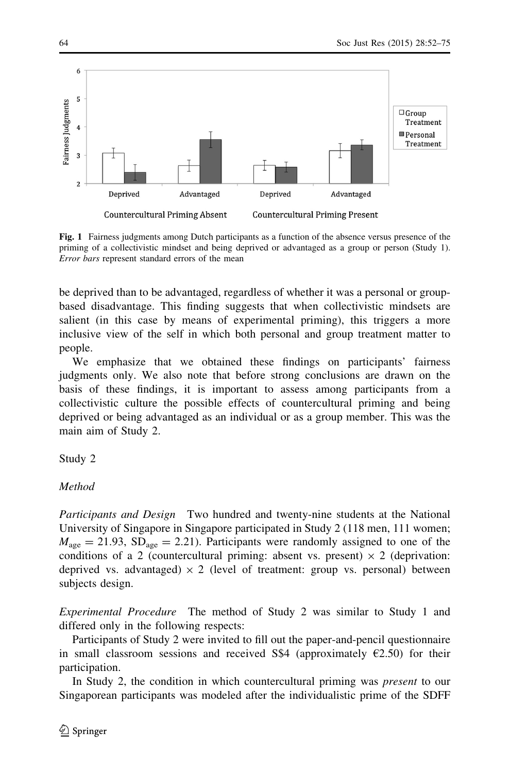<span id="page-12-0"></span>

Fig. 1 Fairness judgments among Dutch participants as a function of the absence versus presence of the priming of a collectivistic mindset and being deprived or advantaged as a group or person (Study 1). Error bars represent standard errors of the mean

be deprived than to be advantaged, regardless of whether it was a personal or groupbased disadvantage. This finding suggests that when collectivistic mindsets are salient (in this case by means of experimental priming), this triggers a more inclusive view of the self in which both personal and group treatment matter to people.

We emphasize that we obtained these findings on participants' fairness judgments only. We also note that before strong conclusions are drawn on the basis of these findings, it is important to assess among participants from a collectivistic culture the possible effects of countercultural priming and being deprived or being advantaged as an individual or as a group member. This was the main aim of Study 2.

Study 2

# Method

Participants and Design Two hundred and twenty-nine students at the National University of Singapore in Singapore participated in Study 2 (118 men, 111 women;  $M_{\text{age}} = 21.93$ ,  $SD_{\text{age}} = 2.21$ ). Participants were randomly assigned to one of the conditions of a 2 (countercultural priming: absent vs. present)  $\times$  2 (deprivation: deprived vs. advantaged)  $\times$  2 (level of treatment: group vs. personal) between subjects design.

Experimental Procedure The method of Study 2 was similar to Study 1 and differed only in the following respects:

Participants of Study 2 were invited to fill out the paper-and-pencil questionnaire in small classroom sessions and received S\$4 (approximately  $E$ 2.50) for their participation.

In Study 2, the condition in which countercultural priming was present to our Singaporean participants was modeled after the individualistic prime of the SDFF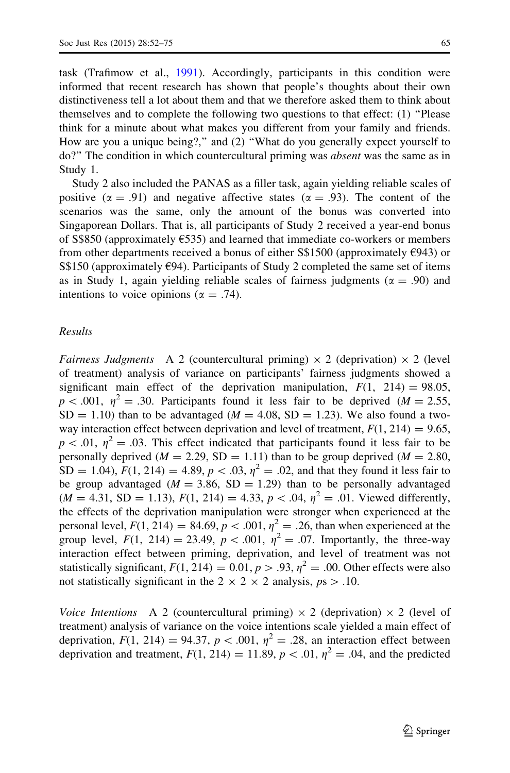task (Trafimow et al., [1991](#page-22-0)). Accordingly, participants in this condition were informed that recent research has shown that people's thoughts about their own distinctiveness tell a lot about them and that we therefore asked them to think about themselves and to complete the following two questions to that effect: (1) ''Please think for a minute about what makes you different from your family and friends. How are you a unique being?," and (2) "What do you generally expect yourself to do?" The condition in which countercultural priming was *absent* was the same as in Study 1.

Study 2 also included the PANAS as a filler task, again yielding reliable scales of positive ( $\alpha = .91$ ) and negative affective states ( $\alpha = .93$ ). The content of the scenarios was the same, only the amount of the bonus was converted into Singaporean Dollars. That is, all participants of Study 2 received a year-end bonus of S\$850 (approximately  $\epsilon$ 535) and learned that immediate co-workers or members from other departments received a bonus of either S\$1500 (approximately €943) or  $S$150 (approximately E94). Participants of Study 2 completed the same set of items$ as in Study 1, again yielding reliable scales of fairness judgments ( $\alpha = .90$ ) and intentions to voice opinions ( $\alpha = .74$ ).

### Results

*Fairness Judgments* A 2 (countercultural priming)  $\times$  2 (deprivation)  $\times$  2 (level of treatment) analysis of variance on participants' fairness judgments showed a significant main effect of the deprivation manipulation,  $F(1, 214) = 98.05$ ,  $p$  < .001,  $\eta^2 = .30$ . Participants found it less fair to be deprived (M = 2.55,  $SD = 1.10$ ) than to be advantaged ( $M = 4.08$ ,  $SD = 1.23$ ). We also found a twoway interaction effect between deprivation and level of treatment,  $F(1, 214) = 9.65$ ,  $p$  < .01,  $\eta^2 = .03$ . This effect indicated that participants found it less fair to be personally deprived ( $M = 2.29$ , SD = 1.11) than to be group deprived ( $M = 2.80$ ,  $SD = 1.04$ ,  $F(1, 214) = 4.89$ ,  $p < .03$ ,  $\eta^2 = .02$ , and that they found it less fair to be group advantaged ( $M = 3.86$ , SD = 1.29) than to be personally advantaged  $(M = 4.31, SD = 1.13), F(1, 214) = 4.33, p < .04, \eta^2 = .01.$  Viewed differently, the effects of the deprivation manipulation were stronger when experienced at the personal level,  $F(1, 214) = 84.69, p < .001, \eta^2 = .26$ , than when experienced at the group level,  $F(1, 214) = 23.49$ ,  $p < .001$ ,  $\eta^2 = .07$ . Importantly, the three-way interaction effect between priming, deprivation, and level of treatment was not statistically significant,  $F(1, 214) = 0.01, p > .93, \eta^2 = .00$ . Other effects were also not statistically significant in the  $2 \times 2 \times 2$  analysis,  $ps > .10$ .

*Voice Intentions* A 2 (countercultural priming)  $\times$  2 (deprivation)  $\times$  2 (level of treatment) analysis of variance on the voice intentions scale yielded a main effect of deprivation,  $F(1, 214) = 94.37$ ,  $p < .001$ ,  $\eta^2 = .28$ , an interaction effect between deprivation and treatment,  $F(1, 214) = 11.89$ ,  $p < .01$ ,  $\eta^2 = .04$ , and the predicted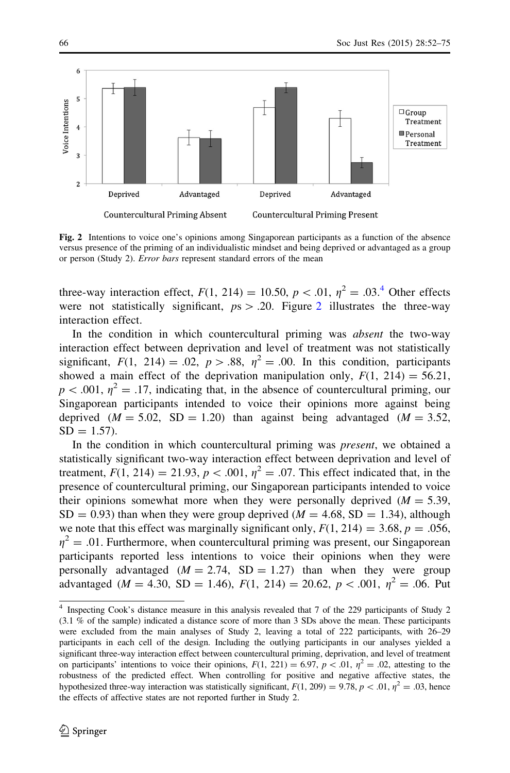

Fig. 2 Intentions to voice one's opinions among Singaporean participants as a function of the absence versus presence of the priming of an individualistic mindset and being deprived or advantaged as a group or person (Study 2). Error bars represent standard errors of the mean

three-way interaction effect,  $F(1, 214) = 10.50$ ,  $p < .01$ ,  $\eta^2 = .03$ .<sup>4</sup> Other effects were not statistically significant,  $ps > .20$ . Figure 2 illustrates the three-way interaction effect.

In the condition in which countercultural priming was *absent* the two-way interaction effect between deprivation and level of treatment was not statistically significant,  $F(1, 214) = .02$ ,  $p > .88$ ,  $\eta^2 = .00$ . In this condition, participants showed a main effect of the deprivation manipulation only,  $F(1, 214) = 56.21$ ,  $p < .001$ ,  $\eta^2 = .17$ , indicating that, in the absence of countercultural priming, our Singaporean participants intended to voice their opinions more against being deprived  $(M = 5.02, SD = 1.20)$  than against being advantaged  $(M = 3.52,$  $SD = 1.57$ ).

In the condition in which countercultural priming was *present*, we obtained a statistically significant two-way interaction effect between deprivation and level of treatment,  $F(1, 214) = 21.93$ ,  $p < .001$ ,  $n^2 = .07$ . This effect indicated that, in the presence of countercultural priming, our Singaporean participants intended to voice their opinions somewhat more when they were personally deprived  $(M = 5.39,$  $SD = 0.93$ ) than when they were group deprived ( $M = 4.68$ ,  $SD = 1.34$ ), although we note that this effect was marginally significant only,  $F(1, 214) = 3.68$ ,  $p = .056$ ,  $\eta^2 = .01$ . Furthermore, when countercultural priming was present, our Singaporean participants reported less intentions to voice their opinions when they were personally advantaged  $(M = 2.74, SD = 1.27)$  than when they were group advantaged ( $M = 4.30$ , SD = 1.46),  $F(1, 214) = 20.62$ ,  $p < .001$ ,  $\eta^2 = .06$ . Put

<sup>4</sup> Inspecting Cook's distance measure in this analysis revealed that 7 of the 229 participants of Study 2 (3.1 % of the sample) indicated a distance score of more than 3 SDs above the mean. These participants were excluded from the main analyses of Study 2, leaving a total of 222 participants, with 26–29 participants in each cell of the design. Including the outlying participants in our analyses yielded a significant three-way interaction effect between countercultural priming, deprivation, and level of treatment on participants' intentions to voice their opinions,  $F(1, 221) = 6.97$ ,  $p < .01$ ,  $\eta^2 = .02$ , attesting to the robustness of the predicted effect. When controlling for positive and negative affective states, the hypothesized three-way interaction was statistically significant,  $F(1, 209) = 9.78$ ,  $p \lt 0.01$ ,  $\eta^2 = 0.03$ , hence the effects of affective states are not reported further in Study 2.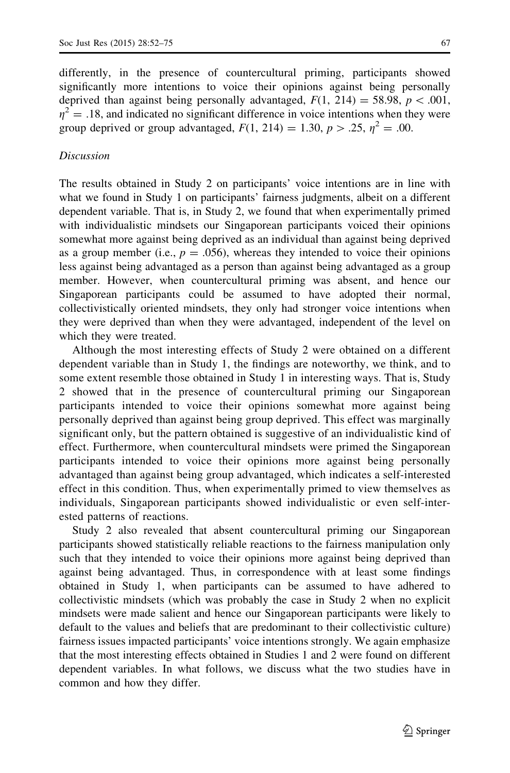differently, in the presence of countercultural priming, participants showed significantly more intentions to voice their opinions against being personally deprived than against being personally advantaged,  $F(1, 214) = 58.98$ ,  $p < .001$ ,  $\eta^2 = 0.18$ , and indicated no significant difference in voice intentions when they were group deprived or group advantaged,  $F(1, 214) = 1.30, p > .25, \eta^2 = .00.$ 

### **Discussion**

The results obtained in Study 2 on participants' voice intentions are in line with what we found in Study 1 on participants' fairness judgments, albeit on a different dependent variable. That is, in Study 2, we found that when experimentally primed with individualistic mindsets our Singaporean participants voiced their opinions somewhat more against being deprived as an individual than against being deprived as a group member (i.e.,  $p = .056$ ), whereas they intended to voice their opinions less against being advantaged as a person than against being advantaged as a group member. However, when countercultural priming was absent, and hence our Singaporean participants could be assumed to have adopted their normal, collectivistically oriented mindsets, they only had stronger voice intentions when they were deprived than when they were advantaged, independent of the level on which they were treated.

Although the most interesting effects of Study 2 were obtained on a different dependent variable than in Study 1, the findings are noteworthy, we think, and to some extent resemble those obtained in Study 1 in interesting ways. That is, Study 2 showed that in the presence of countercultural priming our Singaporean participants intended to voice their opinions somewhat more against being personally deprived than against being group deprived. This effect was marginally significant only, but the pattern obtained is suggestive of an individualistic kind of effect. Furthermore, when countercultural mindsets were primed the Singaporean participants intended to voice their opinions more against being personally advantaged than against being group advantaged, which indicates a self-interested effect in this condition. Thus, when experimentally primed to view themselves as individuals, Singaporean participants showed individualistic or even self-interested patterns of reactions.

Study 2 also revealed that absent countercultural priming our Singaporean participants showed statistically reliable reactions to the fairness manipulation only such that they intended to voice their opinions more against being deprived than against being advantaged. Thus, in correspondence with at least some findings obtained in Study 1, when participants can be assumed to have adhered to collectivistic mindsets (which was probably the case in Study 2 when no explicit mindsets were made salient and hence our Singaporean participants were likely to default to the values and beliefs that are predominant to their collectivistic culture) fairness issues impacted participants' voice intentions strongly. We again emphasize that the most interesting effects obtained in Studies 1 and 2 were found on different dependent variables. In what follows, we discuss what the two studies have in common and how they differ.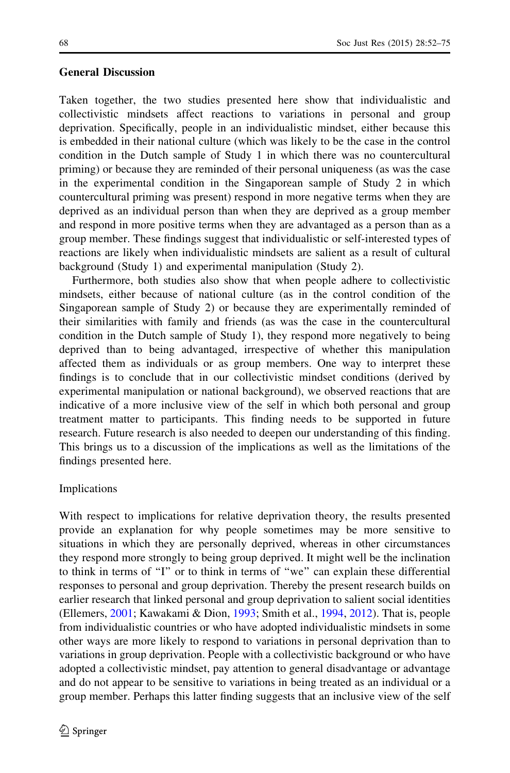### General Discussion

Taken together, the two studies presented here show that individualistic and collectivistic mindsets affect reactions to variations in personal and group deprivation. Specifically, people in an individualistic mindset, either because this is embedded in their national culture (which was likely to be the case in the control condition in the Dutch sample of Study 1 in which there was no countercultural priming) or because they are reminded of their personal uniqueness (as was the case in the experimental condition in the Singaporean sample of Study 2 in which countercultural priming was present) respond in more negative terms when they are deprived as an individual person than when they are deprived as a group member and respond in more positive terms when they are advantaged as a person than as a group member. These findings suggest that individualistic or self-interested types of reactions are likely when individualistic mindsets are salient as a result of cultural background (Study 1) and experimental manipulation (Study 2).

Furthermore, both studies also show that when people adhere to collectivistic mindsets, either because of national culture (as in the control condition of the Singaporean sample of Study 2) or because they are experimentally reminded of their similarities with family and friends (as was the case in the countercultural condition in the Dutch sample of Study 1), they respond more negatively to being deprived than to being advantaged, irrespective of whether this manipulation affected them as individuals or as group members. One way to interpret these findings is to conclude that in our collectivistic mindset conditions (derived by experimental manipulation or national background), we observed reactions that are indicative of a more inclusive view of the self in which both personal and group treatment matter to participants. This finding needs to be supported in future research. Future research is also needed to deepen our understanding of this finding. This brings us to a discussion of the implications as well as the limitations of the findings presented here.

### Implications

With respect to implications for relative deprivation theory, the results presented provide an explanation for why people sometimes may be more sensitive to situations in which they are personally deprived, whereas in other circumstances they respond more strongly to being group deprived. It might well be the inclination to think in terms of "I" or to think in terms of "we" can explain these differential responses to personal and group deprivation. Thereby the present research builds on earlier research that linked personal and group deprivation to salient social identities (Ellemers, [2001;](#page-21-0) Kawakami & Dion, [1993;](#page-21-0) Smith et al., [1994](#page-22-0), [2012](#page-22-0)). That is, people from individualistic countries or who have adopted individualistic mindsets in some other ways are more likely to respond to variations in personal deprivation than to variations in group deprivation. People with a collectivistic background or who have adopted a collectivistic mindset, pay attention to general disadvantage or advantage and do not appear to be sensitive to variations in being treated as an individual or a group member. Perhaps this latter finding suggests that an inclusive view of the self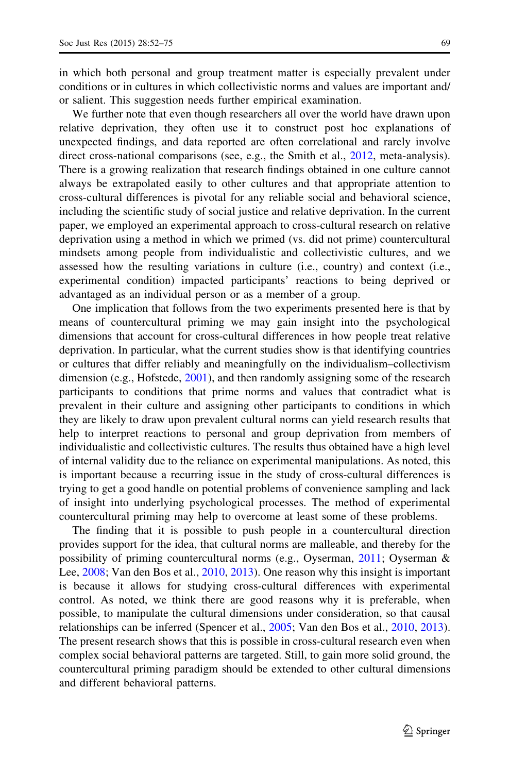in which both personal and group treatment matter is especially prevalent under conditions or in cultures in which collectivistic norms and values are important and/ or salient. This suggestion needs further empirical examination.

We further note that even though researchers all over the world have drawn upon relative deprivation, they often use it to construct post hoc explanations of unexpected findings, and data reported are often correlational and rarely involve direct cross-national comparisons (see, e.g., the Smith et al., [2012,](#page-22-0) meta-analysis). There is a growing realization that research findings obtained in one culture cannot always be extrapolated easily to other cultures and that appropriate attention to cross-cultural differences is pivotal for any reliable social and behavioral science, including the scientific study of social justice and relative deprivation. In the current paper, we employed an experimental approach to cross-cultural research on relative deprivation using a method in which we primed (vs. did not prime) countercultural mindsets among people from individualistic and collectivistic cultures, and we assessed how the resulting variations in culture (i.e., country) and context (i.e., experimental condition) impacted participants' reactions to being deprived or advantaged as an individual person or as a member of a group.

One implication that follows from the two experiments presented here is that by means of countercultural priming we may gain insight into the psychological dimensions that account for cross-cultural differences in how people treat relative deprivation. In particular, what the current studies show is that identifying countries or cultures that differ reliably and meaningfully on the individualism–collectivism dimension (e.g., Hofstede, [2001](#page-21-0)), and then randomly assigning some of the research participants to conditions that prime norms and values that contradict what is prevalent in their culture and assigning other participants to conditions in which they are likely to draw upon prevalent cultural norms can yield research results that help to interpret reactions to personal and group deprivation from members of individualistic and collectivistic cultures. The results thus obtained have a high level of internal validity due to the reliance on experimental manipulations. As noted, this is important because a recurring issue in the study of cross-cultural differences is trying to get a good handle on potential problems of convenience sampling and lack of insight into underlying psychological processes. The method of experimental countercultural priming may help to overcome at least some of these problems.

The finding that it is possible to push people in a countercultural direction provides support for the idea, that cultural norms are malleable, and thereby for the possibility of priming countercultural norms (e.g., Oyserman, [2011;](#page-22-0) Oyserman & Lee, [2008;](#page-22-0) Van den Bos et al., [2010,](#page-22-0) [2013\)](#page-22-0). One reason why this insight is important is because it allows for studying cross-cultural differences with experimental control. As noted, we think there are good reasons why it is preferable, when possible, to manipulate the cultural dimensions under consideration, so that causal relationships can be inferred (Spencer et al., [2005;](#page-22-0) Van den Bos et al., [2010](#page-22-0), [2013\)](#page-22-0). The present research shows that this is possible in cross-cultural research even when complex social behavioral patterns are targeted. Still, to gain more solid ground, the countercultural priming paradigm should be extended to other cultural dimensions and different behavioral patterns.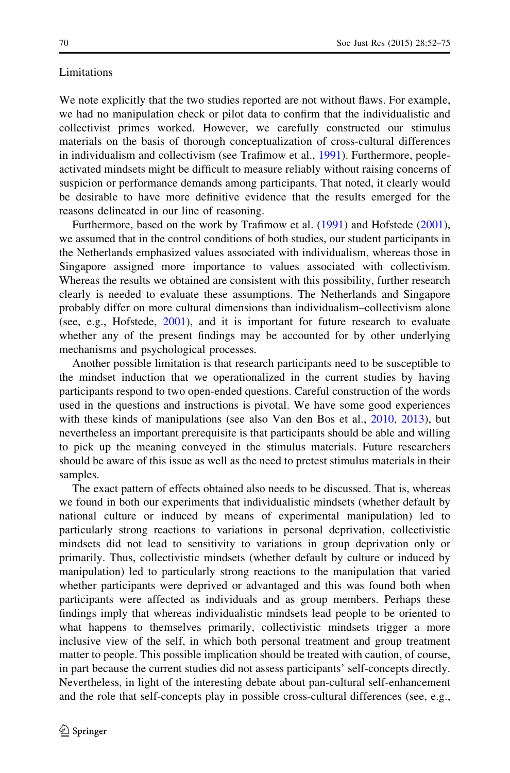### **Limitations**

We note explicitly that the two studies reported are not without flaws. For example, we had no manipulation check or pilot data to confirm that the individualistic and collectivist primes worked. However, we carefully constructed our stimulus materials on the basis of thorough conceptualization of cross-cultural differences in individualism and collectivism (see Trafimow et al., [1991](#page-22-0)). Furthermore, peopleactivated mindsets might be difficult to measure reliably without raising concerns of suspicion or performance demands among participants. That noted, it clearly would be desirable to have more definitive evidence that the results emerged for the reasons delineated in our line of reasoning.

Furthermore, based on the work by Trafimow et al. ([1991\)](#page-22-0) and Hofstede ([2001\)](#page-21-0), we assumed that in the control conditions of both studies, our student participants in the Netherlands emphasized values associated with individualism, whereas those in Singapore assigned more importance to values associated with collectivism. Whereas the results we obtained are consistent with this possibility, further research clearly is needed to evaluate these assumptions. The Netherlands and Singapore probably differ on more cultural dimensions than individualism–collectivism alone (see, e.g., Hofstede, [2001](#page-21-0)), and it is important for future research to evaluate whether any of the present findings may be accounted for by other underlying mechanisms and psychological processes.

Another possible limitation is that research participants need to be susceptible to the mindset induction that we operationalized in the current studies by having participants respond to two open-ended questions. Careful construction of the words used in the questions and instructions is pivotal. We have some good experiences with these kinds of manipulations (see also Van den Bos et al., [2010,](#page-22-0) [2013\)](#page-22-0), but nevertheless an important prerequisite is that participants should be able and willing to pick up the meaning conveyed in the stimulus materials. Future researchers should be aware of this issue as well as the need to pretest stimulus materials in their samples.

The exact pattern of effects obtained also needs to be discussed. That is, whereas we found in both our experiments that individualistic mindsets (whether default by national culture or induced by means of experimental manipulation) led to particularly strong reactions to variations in personal deprivation, collectivistic mindsets did not lead to sensitivity to variations in group deprivation only or primarily. Thus, collectivistic mindsets (whether default by culture or induced by manipulation) led to particularly strong reactions to the manipulation that varied whether participants were deprived or advantaged and this was found both when participants were affected as individuals and as group members. Perhaps these findings imply that whereas individualistic mindsets lead people to be oriented to what happens to themselves primarily, collectivistic mindsets trigger a more inclusive view of the self, in which both personal treatment and group treatment matter to people. This possible implication should be treated with caution, of course, in part because the current studies did not assess participants' self-concepts directly. Nevertheless, in light of the interesting debate about pan-cultural self-enhancement and the role that self-concepts play in possible cross-cultural differences (see, e.g.,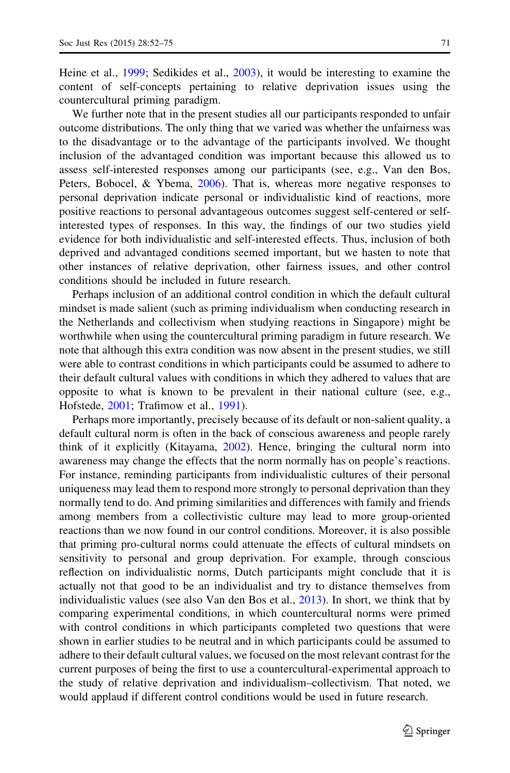Heine et al., [1999](#page-21-0); Sedikides et al., [2003\)](#page-22-0), it would be interesting to examine the content of self-concepts pertaining to relative deprivation issues using the countercultural priming paradigm.

We further note that in the present studies all our participants responded to unfair outcome distributions. The only thing that we varied was whether the unfairness was to the disadvantage or to the advantage of the participants involved. We thought inclusion of the advantaged condition was important because this allowed us to assess self-interested responses among our participants (see, e.g., Van den Bos, Peters, Bobocel, & Ybema, [2006](#page-23-0)). That is, whereas more negative responses to personal deprivation indicate personal or individualistic kind of reactions, more positive reactions to personal advantageous outcomes suggest self-centered or selfinterested types of responses. In this way, the findings of our two studies yield evidence for both individualistic and self-interested effects. Thus, inclusion of both deprived and advantaged conditions seemed important, but we hasten to note that other instances of relative deprivation, other fairness issues, and other control conditions should be included in future research.

Perhaps inclusion of an additional control condition in which the default cultural mindset is made salient (such as priming individualism when conducting research in the Netherlands and collectivism when studying reactions in Singapore) might be worthwhile when using the countercultural priming paradigm in future research. We note that although this extra condition was now absent in the present studies, we still were able to contrast conditions in which participants could be assumed to adhere to their default cultural values with conditions in which they adhered to values that are opposite to what is known to be prevalent in their national culture (see, e.g., Hofstede, [2001;](#page-21-0) Trafimow et al., [1991\)](#page-22-0).

Perhaps more importantly, precisely because of its default or non-salient quality, a default cultural norm is often in the back of conscious awareness and people rarely think of it explicitly (Kitayama, [2002](#page-21-0)). Hence, bringing the cultural norm into awareness may change the effects that the norm normally has on people's reactions. For instance, reminding participants from individualistic cultures of their personal uniqueness may lead them to respond more strongly to personal deprivation than they normally tend to do. And priming similarities and differences with family and friends among members from a collectivistic culture may lead to more group-oriented reactions than we now found in our control conditions. Moreover, it is also possible that priming pro-cultural norms could attenuate the effects of cultural mindsets on sensitivity to personal and group deprivation. For example, through conscious reflection on individualistic norms, Dutch participants might conclude that it is actually not that good to be an individualist and try to distance themselves from individualistic values (see also Van den Bos et al., [2013\)](#page-22-0). In short, we think that by comparing experimental conditions, in which countercultural norms were primed with control conditions in which participants completed two questions that were shown in earlier studies to be neutral and in which participants could be assumed to adhere to their default cultural values, we focused on the most relevant contrast for the current purposes of being the first to use a countercultural-experimental approach to the study of relative deprivation and individualism–collectivism. That noted, we would applaud if different control conditions would be used in future research.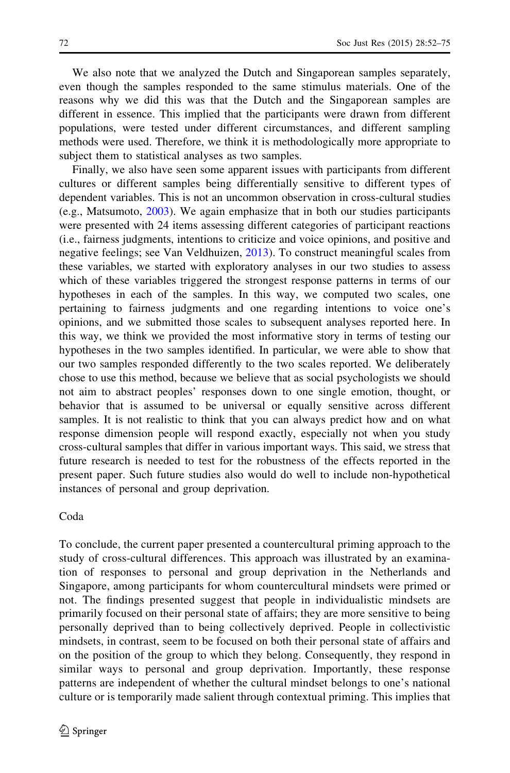We also note that we analyzed the Dutch and Singaporean samples separately, even though the samples responded to the same stimulus materials. One of the reasons why we did this was that the Dutch and the Singaporean samples are different in essence. This implied that the participants were drawn from different populations, were tested under different circumstances, and different sampling methods were used. Therefore, we think it is methodologically more appropriate to subject them to statistical analyses as two samples.

Finally, we also have seen some apparent issues with participants from different cultures or different samples being differentially sensitive to different types of dependent variables. This is not an uncommon observation in cross-cultural studies (e.g., Matsumoto, [2003\)](#page-22-0). We again emphasize that in both our studies participants were presented with 24 items assessing different categories of participant reactions (i.e., fairness judgments, intentions to criticize and voice opinions, and positive and negative feelings; see Van Veldhuizen, [2013\)](#page-23-0). To construct meaningful scales from these variables, we started with exploratory analyses in our two studies to assess which of these variables triggered the strongest response patterns in terms of our hypotheses in each of the samples. In this way, we computed two scales, one pertaining to fairness judgments and one regarding intentions to voice one's opinions, and we submitted those scales to subsequent analyses reported here. In this way, we think we provided the most informative story in terms of testing our hypotheses in the two samples identified. In particular, we were able to show that our two samples responded differently to the two scales reported. We deliberately chose to use this method, because we believe that as social psychologists we should not aim to abstract peoples' responses down to one single emotion, thought, or behavior that is assumed to be universal or equally sensitive across different samples. It is not realistic to think that you can always predict how and on what response dimension people will respond exactly, especially not when you study cross-cultural samples that differ in various important ways. This said, we stress that future research is needed to test for the robustness of the effects reported in the present paper. Such future studies also would do well to include non-hypothetical instances of personal and group deprivation.

Coda

To conclude, the current paper presented a countercultural priming approach to the study of cross-cultural differences. This approach was illustrated by an examination of responses to personal and group deprivation in the Netherlands and Singapore, among participants for whom countercultural mindsets were primed or not. The findings presented suggest that people in individualistic mindsets are primarily focused on their personal state of affairs; they are more sensitive to being personally deprived than to being collectively deprived. People in collectivistic mindsets, in contrast, seem to be focused on both their personal state of affairs and on the position of the group to which they belong. Consequently, they respond in similar ways to personal and group deprivation. Importantly, these response patterns are independent of whether the cultural mindset belongs to one's national culture or is temporarily made salient through contextual priming. This implies that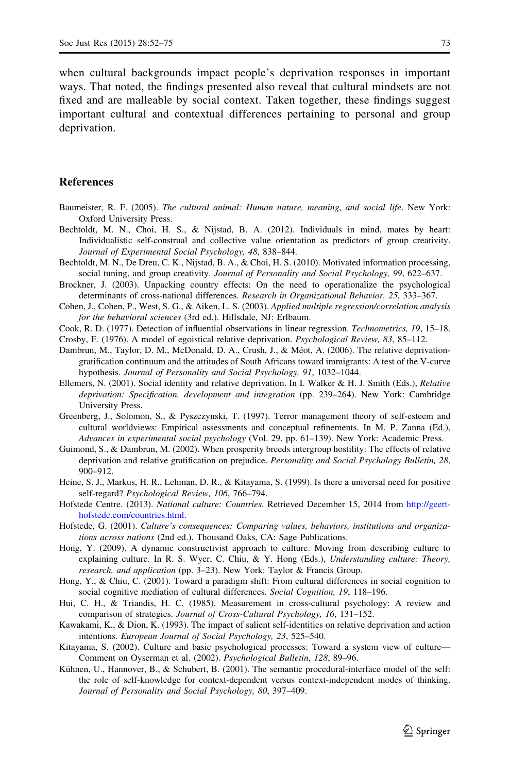<span id="page-21-0"></span>when cultural backgrounds impact people's deprivation responses in important ways. That noted, the findings presented also reveal that cultural mindsets are not fixed and are malleable by social context. Taken together, these findings suggest important cultural and contextual differences pertaining to personal and group deprivation.

### References

- Baumeister, R. F. (2005). The cultural animal: Human nature, meaning, and social life. New York: Oxford University Press.
- Bechtoldt, M. N., Choi, H. S., & Nijstad, B. A. (2012). Individuals in mind, mates by heart: Individualistic self-construal and collective value orientation as predictors of group creativity. Journal of Experimental Social Psychology, 48, 838–844.
- Bechtoldt, M. N., De Dreu, C. K., Nijstad, B. A., & Choi, H. S. (2010). Motivated information processing, social tuning, and group creativity. Journal of Personality and Social Psychology, 99, 622–637.

Brockner, J. (2003). Unpacking country effects: On the need to operationalize the psychological determinants of cross-national differences. Research in Organizational Behavior, 25, 333–367.

- Cohen, J., Cohen, P., West, S. G., & Aiken, L. S. (2003). Applied multiple regression/correlation analysis for the behavioral sciences (3rd ed.). Hillsdale, NJ: Erlbaum.
- Cook, R. D. (1977). Detection of influential observations in linear regression. Technometrics, 19, 15–18.
- Crosby, F. (1976). A model of egoistical relative deprivation. Psychological Review, 83, 85–112.
- Dambrun, M., Taylor, D. M., McDonald, D. A., Crush, J., & Méot, A. (2006). The relative deprivationgratification continuum and the attitudes of South Africans toward immigrants: A test of the V-curve hypothesis. Journal of Personality and Social Psychology, 91, 1032–1044.
- Ellemers, N. (2001). Social identity and relative deprivation. In I. Walker & H. J. Smith (Eds.), Relative deprivation: Specification, development and integration (pp. 239–264). New York: Cambridge University Press.
- Greenberg, J., Solomon, S., & Pyszczynski, T. (1997). Terror management theory of self-esteem and cultural worldviews: Empirical assessments and conceptual refinements. In M. P. Zanna (Ed.), Advances in experimental social psychology (Vol. 29, pp. 61–139). New York: Academic Press.
- Guimond, S., & Dambrun, M. (2002). When prosperity breeds intergroup hostility: The effects of relative deprivation and relative gratification on prejudice. Personality and Social Psychology Bulletin, 28, 900–912.
- Heine, S. J., Markus, H. R., Lehman, D. R., & Kitayama, S. (1999). Is there a universal need for positive self-regard? Psychological Review, 106, 766–794.
- Hofstede Centre. (2013). National culture: Countries. Retrieved December 15, 2014 from [http://geert](http://geert-hofstede.com/countries.html)[hofstede.com/countries.html.](http://geert-hofstede.com/countries.html)
- Hofstede, G. (2001). Culture's consequences: Comparing values, behaviors, institutions and organizations across nations (2nd ed.). Thousand Oaks, CA: Sage Publications.
- Hong, Y. (2009). A dynamic constructivist approach to culture. Moving from describing culture to explaining culture. In R. S. Wyer, C. Chiu, & Y. Hong (Eds.), Understanding culture: Theory, research, and application (pp. 3–23). New York: Taylor & Francis Group.
- Hong, Y., & Chiu, C. (2001). Toward a paradigm shift: From cultural differences in social cognition to social cognitive mediation of cultural differences. Social Cognition, 19, 118-196.
- Hui, C. H., & Triandis, H. C. (1985). Measurement in cross-cultural psychology: A review and comparison of strategies. Journal of Cross-Cultural Psychology, 16, 131–152.
- Kawakami, K., & Dion, K. (1993). The impact of salient self-identities on relative deprivation and action intentions. European Journal of Social Psychology, 23, 525–540.
- Kitayama, S. (2002). Culture and basic psychological processes: Toward a system view of culture— Comment on Oyserman et al. (2002). Psychological Bulletin, 128, 89–96.
- Kühnen, U., Hannover, B., & Schubert, B. (2001). The semantic procedural-interface model of the self: the role of self-knowledge for context-dependent versus context-independent modes of thinking. Journal of Personality and Social Psychology, 80, 397–409.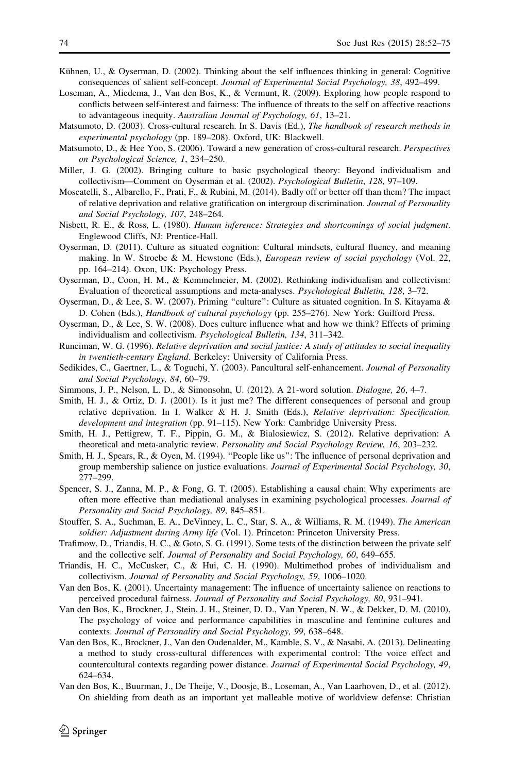- <span id="page-22-0"></span>Kühnen, U., & Oyserman, D. (2002). Thinking about the self influences thinking in general: Cognitive consequences of salient self-concept. Journal of Experimental Social Psychology, 38, 492–499.
- Loseman, A., Miedema, J., Van den Bos, K., & Vermunt, R. (2009). Exploring how people respond to conflicts between self-interest and fairness: The influence of threats to the self on affective reactions to advantageous inequity. Australian Journal of Psychology, 61, 13–21.
- Matsumoto, D. (2003). Cross-cultural research. In S. Davis (Ed.), The handbook of research methods in experimental psychology (pp. 189–208). Oxford, UK: Blackwell.
- Matsumoto, D., & Hee Yoo, S. (2006). Toward a new generation of cross-cultural research. *Perspectives* on Psychological Science, 1, 234–250.
- Miller, J. G. (2002). Bringing culture to basic psychological theory: Beyond individualism and collectivism—Comment on Oyserman et al. (2002). Psychological Bulletin, 128, 97–109.
- Moscatelli, S., Albarello, F., Prati, F., & Rubini, M. (2014). Badly off or better off than them? The impact of relative deprivation and relative gratification on intergroup discrimination. Journal of Personality and Social Psychology, 107, 248–264.
- Nisbett, R. E., & Ross, L. (1980). Human inference: Strategies and shortcomings of social judgment. Englewood Cliffs, NJ: Prentice-Hall.
- Oyserman, D. (2011). Culture as situated cognition: Cultural mindsets, cultural fluency, and meaning making. In W. Stroebe & M. Hewstone (Eds.), European review of social psychology (Vol. 22, pp. 164–214). Oxon, UK: Psychology Press.
- Oyserman, D., Coon, H. M., & Kemmelmeier, M. (2002). Rethinking individualism and collectivism: Evaluation of theoretical assumptions and meta-analyses. Psychological Bulletin, 128, 3–72.
- Oyserman, D., & Lee, S. W. (2007). Priming "culture": Culture as situated cognition. In S. Kitayama & D. Cohen (Eds.), Handbook of cultural psychology (pp. 255–276). New York: Guilford Press.
- Oyserman, D., & Lee, S. W. (2008). Does culture influence what and how we think? Effects of priming individualism and collectivism. Psychological Bulletin, 134, 311–342.
- Runciman, W. G. (1996). Relative deprivation and social justice: A study of attitudes to social inequality in twentieth-century England. Berkeley: University of California Press.
- Sedikides, C., Gaertner, L., & Toguchi, Y. (2003). Pancultural self-enhancement. Journal of Personality and Social Psychology, 84, 60–79.
- Simmons, J. P., Nelson, L. D., & Simonsohn, U. (2012). A 21-word solution. Dialogue, 26, 4–7.
- Smith, H. J., & Ortiz, D. J. (2001). Is it just me? The different consequences of personal and group relative deprivation. In I. Walker & H. J. Smith (Eds.), Relative deprivation: Specification, development and integration (pp. 91–115). New York: Cambridge University Press.
- Smith, H. J., Pettigrew, T. F., Pippin, G. M., & Bialosiewicz, S. (2012). Relative deprivation: A theoretical and meta-analytic review. Personality and Social Psychology Review, 16, 203–232.
- Smith, H. J., Spears, R., & Oyen, M. (1994). ''People like us'': The influence of personal deprivation and group membership salience on justice evaluations. Journal of Experimental Social Psychology, 30, 277–299.
- Spencer, S. J., Zanna, M. P., & Fong, G. T. (2005). Establishing a causal chain: Why experiments are often more effective than mediational analyses in examining psychological processes. Journal of Personality and Social Psychology, 89, 845–851.
- Stouffer, S. A., Suchman, E. A., DeVinney, L. C., Star, S. A., & Williams, R. M. (1949). The American soldier: Adjustment during Army life (Vol. 1). Princeton: Princeton University Press.
- Trafimow, D., Triandis, H. C., & Goto, S. G. (1991). Some tests of the distinction between the private self and the collective self. Journal of Personality and Social Psychology, 60, 649–655.
- Triandis, H. C., McCusker, C., & Hui, C. H. (1990). Multimethod probes of individualism and collectivism. Journal of Personality and Social Psychology, 59, 1006–1020.
- Van den Bos, K. (2001). Uncertainty management: The influence of uncertainty salience on reactions to perceived procedural fairness. Journal of Personality and Social Psychology, 80, 931–941.
- Van den Bos, K., Brockner, J., Stein, J. H., Steiner, D. D., Van Yperen, N. W., & Dekker, D. M. (2010). The psychology of voice and performance capabilities in masculine and feminine cultures and contexts. Journal of Personality and Social Psychology, 99, 638–648.
- Van den Bos, K., Brockner, J., Van den Oudenalder, M., Kamble, S. V., & Nasabi, A. (2013). Delineating a method to study cross-cultural differences with experimental control: Tthe voice effect and countercultural contexts regarding power distance. Journal of Experimental Social Psychology, 49, 624–634.
- Van den Bos, K., Buurman, J., De Theije, V., Doosje, B., Loseman, A., Van Laarhoven, D., et al. (2012). On shielding from death as an important yet malleable motive of worldview defense: Christian